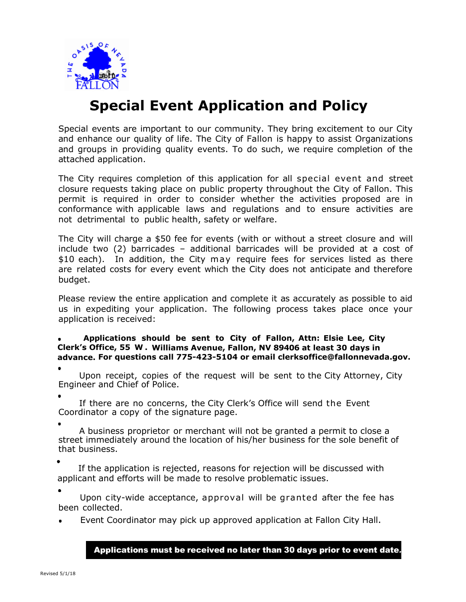

## **Special Event Application and Policy**

Special events are important to our community. They bring excitement to our City and enhance our quality of life. The City of Fallon is happy to assist Organizations and groups in providing quality events. To do such, we require completion of the attached application.

The City requires completion of this application for all special event and street closure requests taking place on public property throughout the City of Fallon. This permit is required in order to consider whether the activities proposed are in conformance with applicable laws and regulations and to ensure activities are not detrimental to public health, safety or welfare.

The City will charge a \$50 fee for events (with or without a street closure and will include two (2) barricades – additional barricades will be provided at a cost of \$10 each). In addition, the City may require fees for services listed as there are related costs for every event which the City does not anticipate and therefore budget.

Please review the entire application and complete it as accurately as possible to aid us in expediting your application. The following process takes place once your application is received:

**Applications should be sent to City of Fallon, Attn: Elsie Lee, City Clerk's Office, 55 W . Williams Avenue, Fallon, NV 89406 at least 30 days in advance. For questions call 775-423-5104 or email clerksoffice@fallonnevada.gov.**

 Upon receipt, copies of the request will be sent to the City Attorney, City Engineer and Chief of Police.

 If there are no concerns, the City Clerk's Office will send the Event Coordinator a copy of the signature page.

 A business proprietor or merchant will not be granted a permit to close a street immediately around the location of his/her business for the sole benefit of that business.

 If the application is rejected, reasons for rejection will be discussed with applicant and efforts will be made to resolve problematic issues.

 Upon city-wide acceptance, approval will be granted after the fee has been collected.

Event Coordinator may pick up approved application at Fallon City Hall.

Applications must be received no later than 30 days prior to event date*.*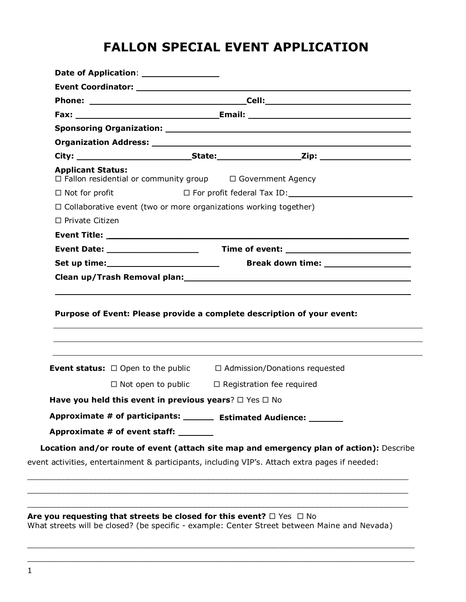### **FALLON SPECIAL EVENT APPLICATION**

| <b>Applicant Status:</b>                                                |                                                | $\Box$ Fallon residential or community group $\Box$ Government Agency                          |  |  |
|-------------------------------------------------------------------------|------------------------------------------------|------------------------------------------------------------------------------------------------|--|--|
| $\Box$ Not for profit                                                   | $\square$ For profit federal Tax ID: $\square$ |                                                                                                |  |  |
| $\Box$ Collaborative event (two or more organizations working together) |                                                |                                                                                                |  |  |
| $\Box$ Private Citizen                                                  |                                                |                                                                                                |  |  |
|                                                                         |                                                |                                                                                                |  |  |
|                                                                         |                                                |                                                                                                |  |  |
|                                                                         |                                                |                                                                                                |  |  |
|                                                                         |                                                | Purpose of Event: Please provide a complete description of your event:                         |  |  |
|                                                                         |                                                |                                                                                                |  |  |
|                                                                         |                                                |                                                                                                |  |  |
|                                                                         |                                                | <b>Event status:</b> $\Box$ Open to the public $\Box$ Admission/Donations requested            |  |  |
|                                                                         |                                                | $\Box$ Not open to public $\Box$ Registration fee required                                     |  |  |
| Have you held this event in previous years? $\square$ Yes $\square$ No  |                                                |                                                                                                |  |  |
|                                                                         |                                                | Approximate # of participants: _______ Estimated Audience: ______                              |  |  |
| Approximate # of event staff: _______                                   |                                                |                                                                                                |  |  |
|                                                                         |                                                | Location and/or route of event (attach site map and emergency plan of action): Describe        |  |  |
|                                                                         |                                                | event activities, entertainment & participants, including VIP's. Attach extra pages if needed: |  |  |
|                                                                         |                                                |                                                                                                |  |  |

What streets will be closed? (be specific - example: Center Street between Maine and Nevada)

\_\_\_\_\_\_\_\_\_\_\_\_\_\_\_\_\_\_\_\_\_\_\_\_\_\_\_\_\_\_\_\_\_\_\_\_\_\_\_\_\_\_\_\_\_\_\_\_\_\_\_\_\_\_\_\_\_\_\_\_\_\_\_\_\_\_\_\_\_\_\_\_\_\_\_\_\_\_\_\_  $\_$  ,  $\_$  ,  $\_$  ,  $\_$  ,  $\_$  ,  $\_$  ,  $\_$  ,  $\_$  ,  $\_$  ,  $\_$  ,  $\_$  ,  $\_$  ,  $\_$  ,  $\_$  ,  $\_$  ,  $\_$  ,  $\_$  ,  $\_$  ,  $\_$  ,  $\_$  ,  $\_$  ,  $\_$  ,  $\_$  ,  $\_$  ,  $\_$  ,  $\_$  ,  $\_$  ,  $\_$  ,  $\_$  ,  $\_$  ,  $\_$  ,  $\_$  ,  $\_$  ,  $\_$  ,  $\_$  ,  $\_$  ,  $\_$  ,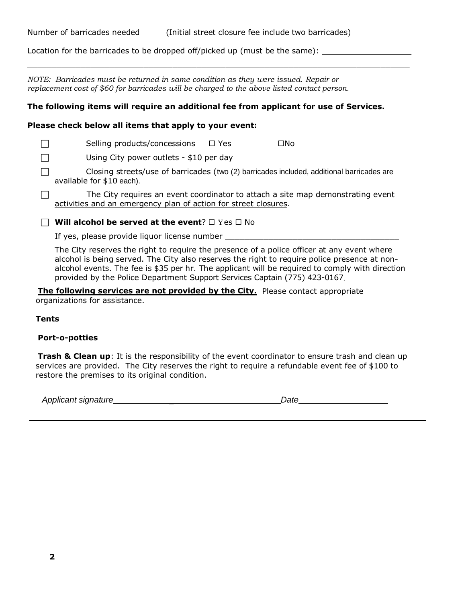| Number of barricades needed | (Initial street closure fee include two barricades) |
|-----------------------------|-----------------------------------------------------|
|-----------------------------|-----------------------------------------------------|

Location for the barricades to be dropped off/picked up (must be the same):

*NOTE: Barricades must be returned in same condition as they were issued. Repair or replacement cost of \$60 for barricades will be charged to the above listed contact person.*

#### **The following items will require an additional fee from applicant for use of Services.**

 $\_$  ,  $\_$  ,  $\_$  ,  $\_$  ,  $\_$  ,  $\_$  ,  $\_$  ,  $\_$  ,  $\_$  ,  $\_$  ,  $\_$  ,  $\_$  ,  $\_$  ,  $\_$  ,  $\_$  ,  $\_$  ,  $\_$  ,  $\_$  ,  $\_$  ,  $\_$  ,  $\_$  ,  $\_$  ,  $\_$  ,  $\_$  ,  $\_$  ,  $\_$  ,  $\_$  ,  $\_$  ,  $\_$  ,  $\_$  ,  $\_$  ,  $\_$  ,  $\_$  ,  $\_$  ,  $\_$  ,  $\_$  ,  $\_$  ,

#### **Please check below all items that apply to your event:**

 $\Box$  Selling products/concessions  $\Box$  Yes  $\Box$  No

 $\Box$  Using City power outlets - \$10 per day

 $\Box$  Closing streets/use of barricades (two (2) barricades included, additional barricades are available for \$10 each).

 $\Box$  The City requires an event coordinator to attach a site map demonstrating event activities and an emergency plan of action for street closures.

 $\Box$  Will alcohol be served at the event?  $\Box$  Yes  $\Box$  No

If yes, please provide liquor license number

The City reserves the right to require the presence of a police officer at any event where alcohol is being served. The City also reserves the right to require police presence at nonalcohol events. The fee is \$35 per hr. The applicant will be required to comply with direction provided by the Police Department Support Services Captain (775) 423-0167.

**The following services are not provided by the City.** Please contact appropriate organizations for assistance.

**Tents**

#### **Port-o-potties**

**Trash & Clean up**: It is the responsibility of the event coordinator to ensure trash and clean up services are provided. The City reserves the right to require a refundable event fee of \$100 to restore the premises to its original condition.

*Applicant signature* \_ *Date*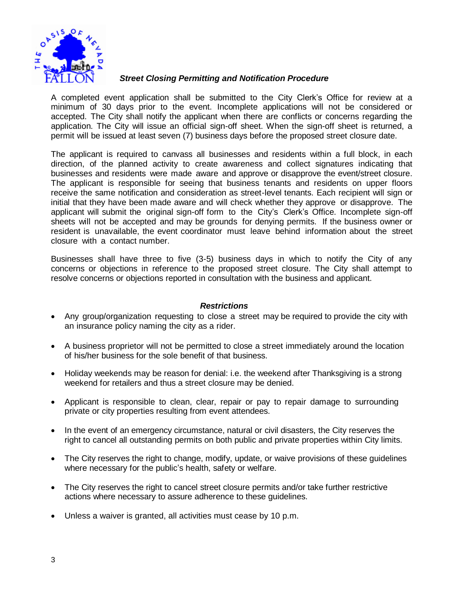

#### *Street Closing Permitting and Notification Procedure*

A completed event application shall be submitted to the City Clerk's Office for review at a minimum of 30 days prior to the event. Incomplete applications will not be considered or accepted. The City shall notify the applicant when there are conflicts or concerns regarding the application. The City will issue an official sign-off sheet. When the sign-off sheet is returned, a permit will be issued at least seven (7) business days before the proposed street closure date.

The applicant is required to canvass all businesses and residents within a full block, in each direction, of the planned activity to create awareness and collect signatures indicating that businesses and residents were made aware and approve or disapprove the event/street closure. The applicant is responsible for seeing that business tenants and residents on upper floors receive the same notification and consideration as street-level tenants. Each recipient will sign or initial that they have been made aware and will check whether they approve or disapprove. The applicant will submit the original sign-off form to the City's Clerk's Office. Incomplete sign-off sheets will not be accepted and may be grounds for denying permits. If the business owner or resident is unavailable, the event coordinator must leave behind information about the street closure with a contact number.

Businesses shall have three to five (3-5) business days in which to notify the City of any concerns or objections in reference to the proposed street closure. The City shall attempt to resolve concerns or objections reported in consultation with the business and applicant.

#### *Restrictions*

- Any group/organization requesting to close a street may be required to provide the city with an insurance policy naming the city as a rider.
- A business proprietor will not be permitted to close a street immediately around the location of his/her business for the sole benefit of that business.
- Holiday weekends may be reason for denial: i.e. the weekend after Thanksgiving is a strong weekend for retailers and thus a street closure may be denied.
- Applicant is responsible to clean, clear, repair or pay to repair damage to surrounding private or city properties resulting from event attendees.
- In the event of an emergency circumstance, natural or civil disasters, the City reserves the right to cancel all outstanding permits on both public and private properties within City limits.
- The City reserves the right to change, modify, update, or waive provisions of these guidelines where necessary for the public's health, safety or welfare.
- The City reserves the right to cancel street closure permits and/or take further restrictive actions where necessary to assure adherence to these guidelines.
- Unless a waiver is granted, all activities must cease by 10 p.m.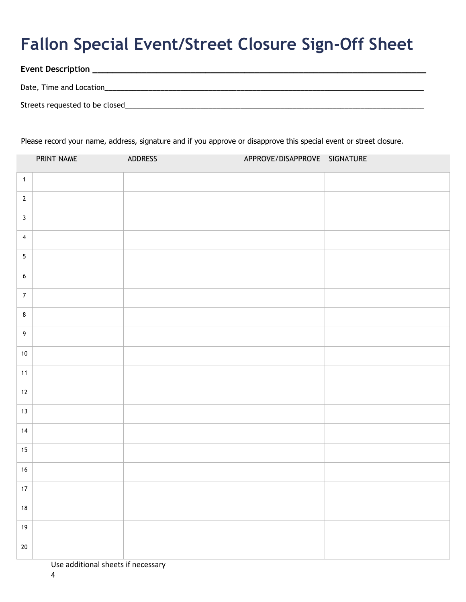# **Fallon Special Event/Street Closure Sign-Off Sheet**

| <b>Event Description</b>       |  |
|--------------------------------|--|
|                                |  |
| Date, Time and Location        |  |
|                                |  |
| Streets requested to be closed |  |

Please record your name, address, signature and if you approve or disapprove this special event or street closure.

|                         | PRINT NAME | ADDRESS | APPROVE/DISAPPROVE SIGNATURE |  |
|-------------------------|------------|---------|------------------------------|--|
| $\overline{1}$          |            |         |                              |  |
| $\overline{2}$          |            |         |                              |  |
| $\overline{\mathbf{3}}$ |            |         |                              |  |
| $\overline{\mathbf{4}}$ |            |         |                              |  |
| $\overline{5}$          |            |         |                              |  |
| $\boldsymbol{6}$        |            |         |                              |  |
| $\overline{7}$          |            |         |                              |  |
| $\bf 8$                 |            |         |                              |  |
| 9                       |            |         |                              |  |
| $10\,$                  |            |         |                              |  |
| 11                      |            |         |                              |  |
| $12$                    |            |         |                              |  |
| 13                      |            |         |                              |  |
| 14                      |            |         |                              |  |
| 15                      |            |         |                              |  |
| $16\,$                  |            |         |                              |  |
| $17\,$                  |            |         |                              |  |
| $18\,$                  |            |         |                              |  |
| $19$                    |            |         |                              |  |
| $20\,$                  |            |         |                              |  |

Use additional sheets if necessary